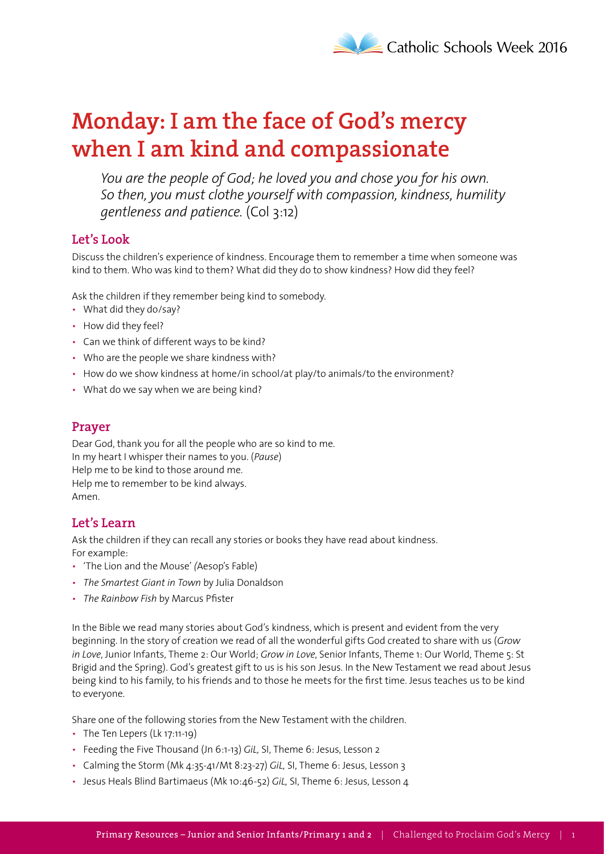# **Monday: I am the face of God's mercy when I am kind and compassionate**

*You are the people of God; he loved you and chose you for his own. So then, you must clothe yourself with compassion, kindness, humility gentleness and patience.* (Col 3:12)

## **Let's Look**

Discuss the children's experience of kindness. Encourage them to remember a time when someone was kind to them. Who was kind to them? What did they do to show kindness? How did they feel?

Ask the children if they remember being kind to somebody.

- What did they do/say?
- How did they feel?
- Can we think of different ways to be kind?
- Who are the people we share kindness with?
- How do we show kindness at home/in school/at play/to animals/to the environment?
- What do we say when we are being kind?

#### **Prayer**

Dear God, thank you for all the people who are so kind to me. In my heart I whisper their names to you. (*Pause*) Help me to be kind to those around me. Help me to remember to be kind always. Amen.

### **Let's Learn**

Ask the children if they can recall any stories or books they have read about kindness. For example:

- 'The Lion and the Mouse' *(*Aesop's Fable)
- *The Smartest Giant in Town* by Julia Donaldson
- *The Rainbow Fish* by Marcus Pfister

In the Bible we read many stories about God's kindness, which is present and evident from the very beginning. In the story of creation we read of all the wonderful gifts God created to share with us (*Grow in Love*, Junior Infants, Theme 2: Our World; *Grow in Love*, Senior Infants, Theme 1: Our World, Theme 5: St Brigid and the Spring). God's greatest gift to us is his son Jesus. In the New Testament we read about Jesus being kind to his family, to his friends and to those he meets for the first time. Jesus teaches us to be kind to everyone.

Share one of the following stories from the New Testament with the children.

- The Ten Lepers (Lk 17:11-19)
- Feeding the Five Thousand (Jn 6:1-13) *GiL,* SI, Theme 6: Jesus, Lesson 2
- Calming the Storm (Mk 4:35-41/Mt 8:23-27) *GiL,* SI, Theme 6: Jesus, Lesson 3
- Jesus Heals Blind Bartimaeus (Mk 10:46-52) *GiL,* SI, Theme 6: Jesus, Lesson 4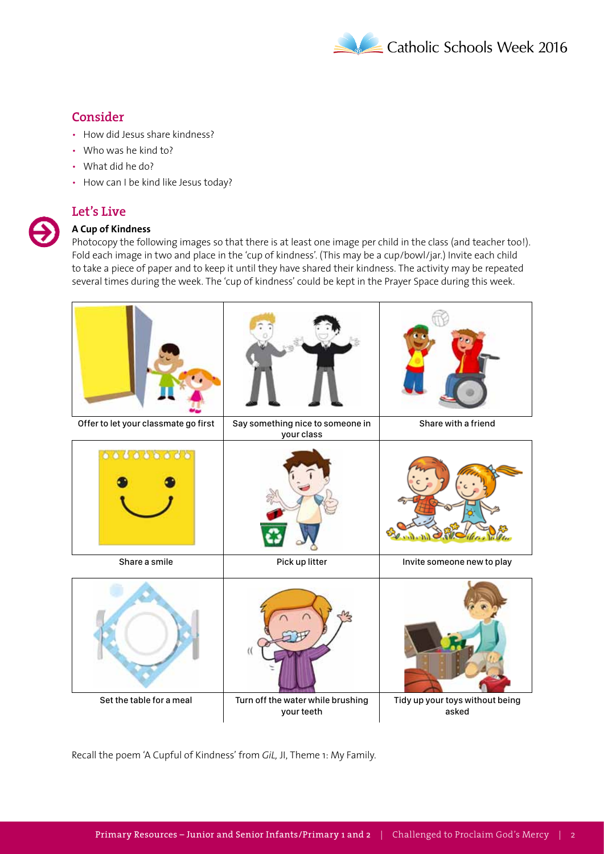

## **Consider**

- How did Jesus share kindness?
- Who was he kind to?
- What did he do?
- How can I be kind like Jesus today?



#### **Let's Live A Cup of Kindness**

Photocopy the following images so that there is at least one image per child in the class (and teacher too!). Fold each image in two and place in the 'cup of kindness'. (This may be a cup/bowl/jar.) Invite each child to take a piece of paper and to keep it until they have shared their kindness. The activity may be repeated several times during the week. The 'cup of kindness' could be kept in the Prayer Space during this week.



Recall the poem 'A Cupful of Kindness' from *GiL,* JI, Theme 1: My Family.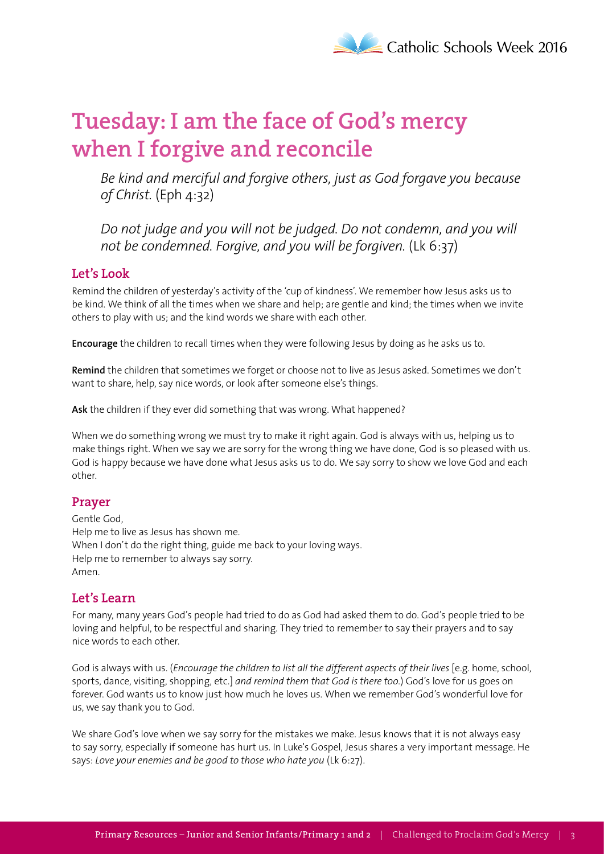# **Tuesday: I am the face of God's mercy when I forgive and reconcile**

*Be kind and merciful and forgive others, just as God forgave you because of Christ.* (Eph 4:32)

*Do not judge and you will not be judged. Do not condemn, and you will*  not be condemned. Forgive, and you will be forgiven. (Lk 6:37)

## **Let's Look**

Remind the children of yesterday's activity of the 'cup of kindness'. We remember how Jesus asks us to be kind. We think of all the times when we share and help; are gentle and kind; the times when we invite others to play with us; and the kind words we share with each other.

**Encourage** the children to recall times when they were following Jesus by doing as he asks us to.

**Remind** the children that sometimes we forget or choose not to live as Jesus asked. Sometimes we don't want to share, help, say nice words, or look after someone else's things.

**Ask** the children if they ever did something that was wrong. What happened?

When we do something wrong we must try to make it right again. God is always with us, helping us to make things right. When we say we are sorry for the wrong thing we have done, God is so pleased with us. God is happy because we have done what Jesus asks us to do. We say sorry to show we love God and each other.

### **Prayer**

Gentle God, Help me to live as Jesus has shown me. When I don't do the right thing, guide me back to your loving ways. Help me to remember to always say sorry. Amen.

# **Let's Learn**

For many, many years God's people had tried to do as God had asked them to do. God's people tried to be loving and helpful, to be respectful and sharing. They tried to remember to say their prayers and to say nice words to each other.

God is always with us. (*Encourage the children to list all the different aspects of their lives* [e.g. home, school, sports, dance, visiting, shopping, etc.] *and remind them that God is there too*.) God's love for us goes on forever. God wants us to know just how much he loves us. When we remember God's wonderful love for us, we say thank you to God.

We share God's love when we say sorry for the mistakes we make. Jesus knows that it is not always easy to say sorry, especially if someone has hurt us. In Luke's Gospel, Jesus shares a very important message. He says: *Love your enemies and be good to those who hate you* (Lk 6:27).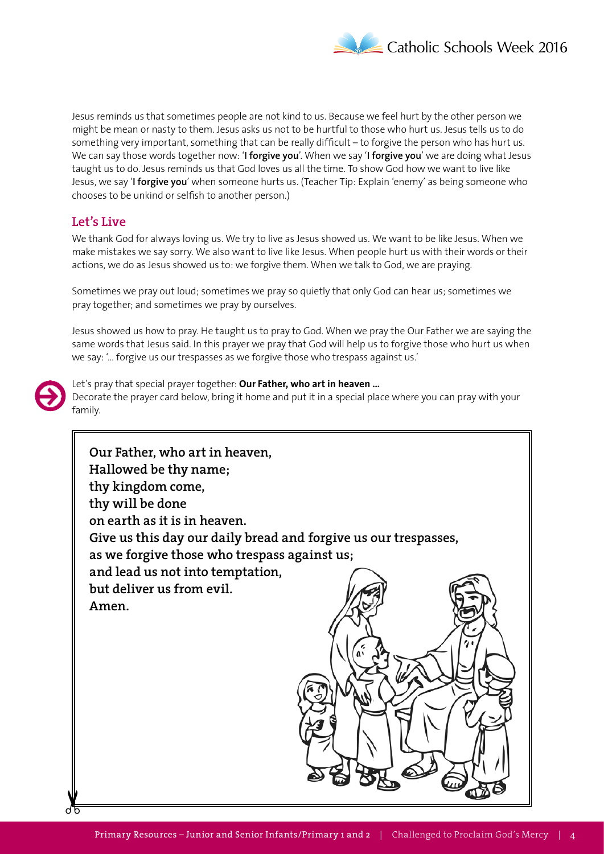

Jesus reminds us that sometimes people are not kind to us. Because we feel hurt by the other person we might be mean or nasty to them. Jesus asks us not to be hurtful to those who hurt us. Jesus tells us to do something very important, something that can be really difficult – to forgive the person who has hurt us. We can say those words together now: '**I forgive you**'. When we say '**I forgive you**' we are doing what Jesus taught us to do. Jesus reminds us that God loves us all the time. To show God how we want to live like Jesus, we say '**I forgive you**' when someone hurts us. (Teacher Tip: Explain 'enemy' as being someone who chooses to be unkind or selfish to another person.)

### **Let's Live**

We thank God for always loving us. We try to live as Jesus showed us. We want to be like Jesus. When we make mistakes we say sorry. We also want to live like Jesus. When people hurt us with their words or their actions, we do as Jesus showed us to: we forgive them. When we talk to God, we are praying.

Sometimes we pray out loud; sometimes we pray so quietly that only God can hear us; sometimes we pray together; and sometimes we pray by ourselves.

Jesus showed us how to pray. He taught us to pray to God. When we pray the Our Father we are saying the same words that Jesus said. In this prayer we pray that God will help us to forgive those who hurt us when we say: '… forgive us our trespasses as we forgive those who trespass against us.'



Let's pray that special prayer together: **Our Father, who art in heaven …** Decorate the prayer card below, bring it home and put it in a special place where you can pray with your family.

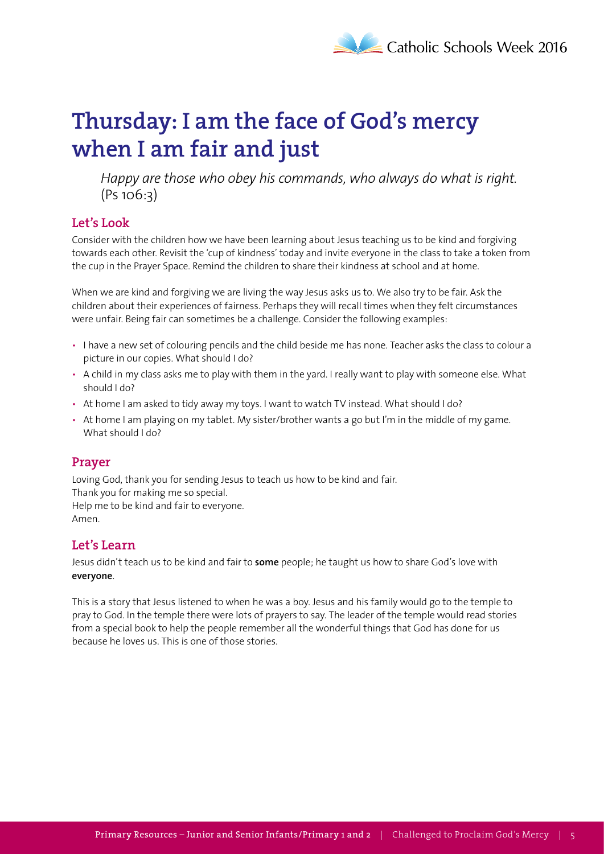# **Thursday: I am the face of God's mercy when I am fair and just**

*Happy are those who obey his commands, who always do what is right.*   $(Ps 106:3)$ 

# **Let's Look**

Consider with the children how we have been learning about Jesus teaching us to be kind and forgiving towards each other. Revisit the 'cup of kindness' today and invite everyone in the class to take a token from the cup in the Prayer Space. Remind the children to share their kindness at school and at home.

When we are kind and forgiving we are living the way Jesus asks us to. We also try to be fair. Ask the children about their experiences of fairness. Perhaps they will recall times when they felt circumstances were unfair. Being fair can sometimes be a challenge. Consider the following examples:

- I have a new set of colouring pencils and the child beside me has none. Teacher asks the class to colour a picture in our copies. What should I do?
- A child in my class asks me to play with them in the yard. I really want to play with someone else. What should I do?
- At home I am asked to tidy away my toys. I want to watch TV instead. What should I do?
- At home I am playing on my tablet. My sister/brother wants a go but I'm in the middle of my game. What should I do?

#### **Prayer**

Loving God, thank you for sending Jesus to teach us how to be kind and fair. Thank you for making me so special. Help me to be kind and fair to everyone. Amen.

### **Let's Learn**

Jesus didn't teach us to be kind and fair to **some** people; he taught us how to share God's love with **everyone**.

This is a story that Jesus listened to when he was a boy. Jesus and his family would go to the temple to pray to God. In the temple there were lots of prayers to say. The leader of the temple would read stories from a special book to help the people remember all the wonderful things that God has done for us because he loves us. This is one of those stories.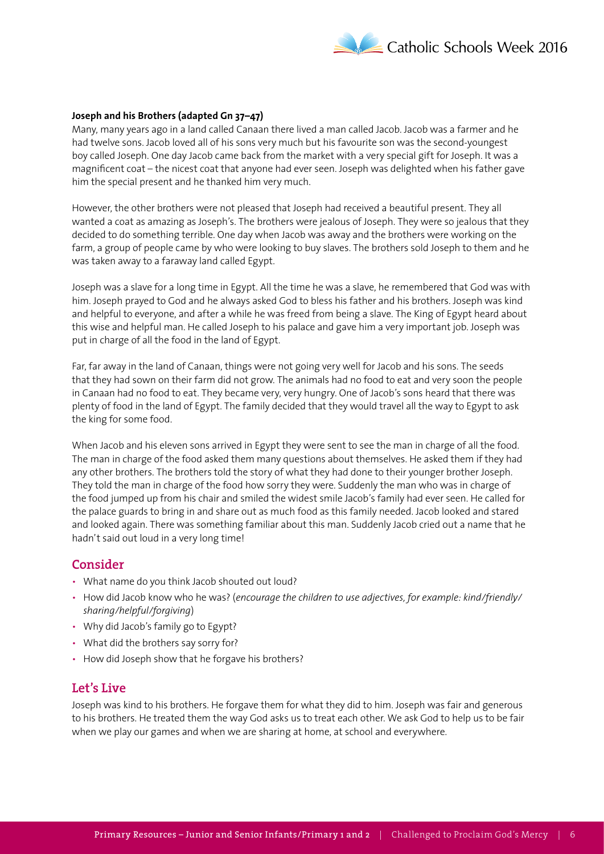

#### **Joseph and his Brothers (adapted Gn 37–47)**

Many, many years ago in a land called Canaan there lived a man called Jacob. Jacob was a farmer and he had twelve sons. Jacob loved all of his sons very much but his favourite son was the second-youngest boy called Joseph. One day Jacob came back from the market with a very special gift for Joseph. It was a magnificent coat – the nicest coat that anyone had ever seen. Joseph was delighted when his father gave him the special present and he thanked him very much.

However, the other brothers were not pleased that Joseph had received a beautiful present. They all wanted a coat as amazing as Joseph's. The brothers were jealous of Joseph. They were so jealous that they decided to do something terrible. One day when Jacob was away and the brothers were working on the farm, a group of people came by who were looking to buy slaves. The brothers sold Joseph to them and he was taken away to a faraway land called Egypt.

Joseph was a slave for a long time in Egypt. All the time he was a slave, he remembered that God was with him. Joseph prayed to God and he always asked God to bless his father and his brothers. Joseph was kind and helpful to everyone, and after a while he was freed from being a slave. The King of Egypt heard about this wise and helpful man. He called Joseph to his palace and gave him a very important job. Joseph was put in charge of all the food in the land of Egypt.

Far, far away in the land of Canaan, things were not going very well for Jacob and his sons. The seeds that they had sown on their farm did not grow. The animals had no food to eat and very soon the people in Canaan had no food to eat. They became very, very hungry. One of Jacob's sons heard that there was plenty of food in the land of Egypt. The family decided that they would travel all the way to Egypt to ask the king for some food.

When Jacob and his eleven sons arrived in Egypt they were sent to see the man in charge of all the food. The man in charge of the food asked them many questions about themselves. He asked them if they had any other brothers. The brothers told the story of what they had done to their younger brother Joseph. They told the man in charge of the food how sorry they were. Suddenly the man who was in charge of the food jumped up from his chair and smiled the widest smile Jacob's family had ever seen. He called for the palace guards to bring in and share out as much food as this family needed. Jacob looked and stared and looked again. There was something familiar about this man. Suddenly Jacob cried out a name that he hadn't said out loud in a very long time!

#### **Consider**

- What name do you think Jacob shouted out loud?
- How did Jacob know who he was? (*encourage the children to use adjectives, for example: kind/friendly/ sharing/helpful/forgiving*)
- Why did Jacob's family go to Egypt?
- What did the brothers say sorry for?
- How did Joseph show that he forgave his brothers?

#### **Let's Live**

Joseph was kind to his brothers. He forgave them for what they did to him. Joseph was fair and generous to his brothers. He treated them the way God asks us to treat each other. We ask God to help us to be fair when we play our games and when we are sharing at home, at school and everywhere.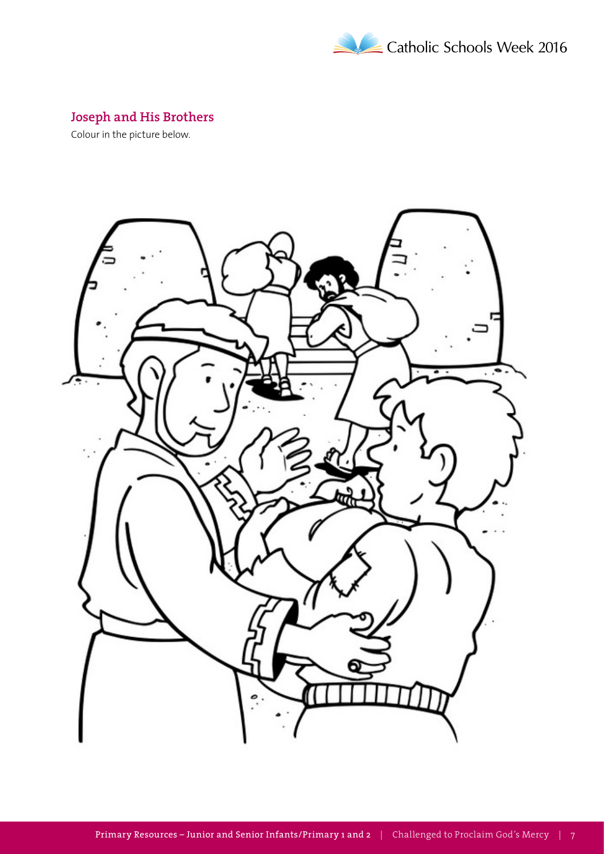

# **Joseph and His Brothers**

Colour in the picture below.

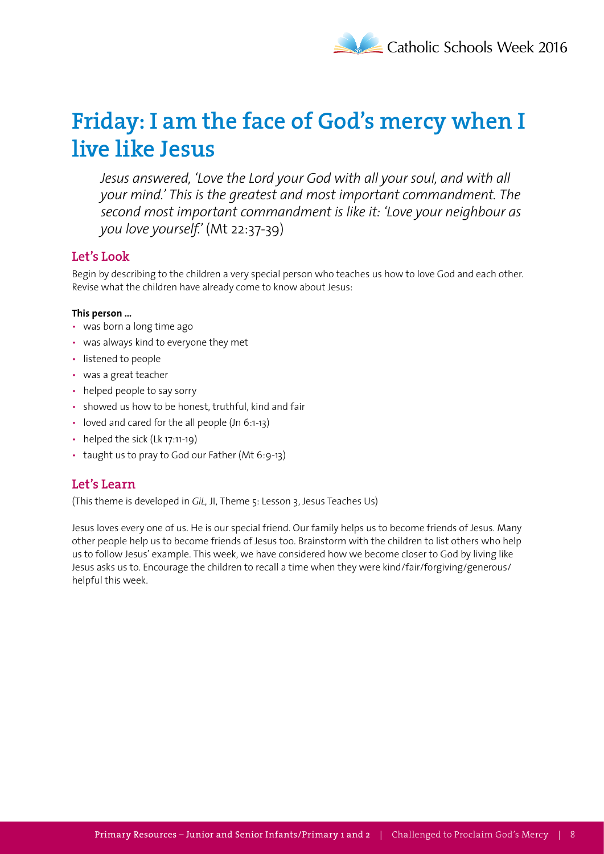# **Friday: I am the face of God's mercy when I live like Jesus**

*Jesus answered, 'Love the Lord your God with all your soul, and with all your mind.' This is the greatest and most important commandment. The second most important commandment is like it: 'Love your neighbour as you love yourself.'* (Mt 22:37-39)

## **Let's Look**

Begin by describing to the children a very special person who teaches us how to love God and each other. Revise what the children have already come to know about Jesus:

#### **This person …**

- was born a long time ago
- was always kind to everyone they met
- listened to people
- was a great teacher
- helped people to say sorry
- showed us how to be honest, truthful, kind and fair
- loved and cared for the all people (Jn 6:1-13)
- helped the sick (Lk 17:11-19)
- taught us to pray to God our Father (Mt 6:9-13)

# **Let's Learn**

(This theme is developed in *GiL,* JI, Theme 5: Lesson 3, Jesus Teaches Us)

Jesus loves every one of us. He is our special friend. Our family helps us to become friends of Jesus. Many other people help us to become friends of Jesus too. Brainstorm with the children to list others who help us to follow Jesus' example. This week, we have considered how we become closer to God by living like Jesus asks us to. Encourage the children to recall a time when they were kind/fair/forgiving/generous/ helpful this week.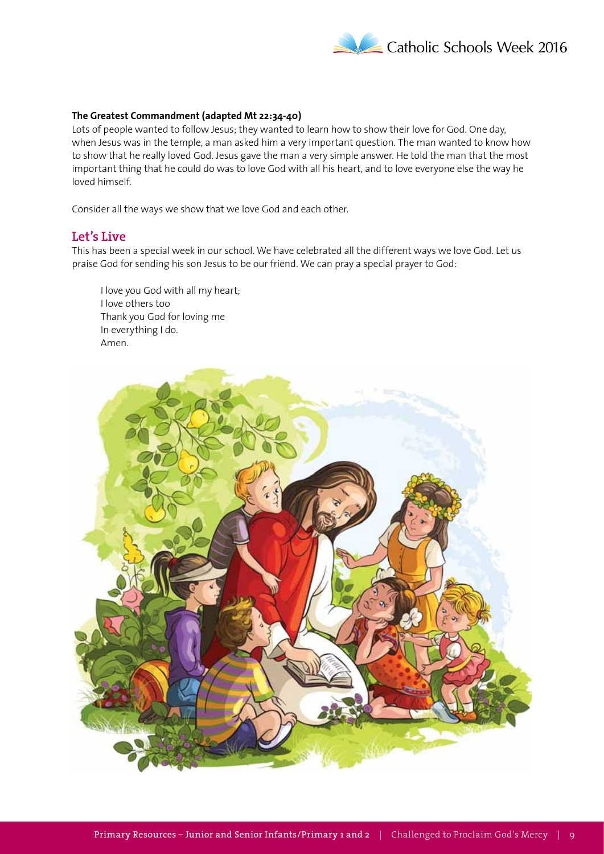

#### **The Greatest Commandment (adapted Mt 22:34-40)**

Lots of people wanted to follow Jesus; they wanted to learn how to show their love for God. One day, when Jesus was in the temple, a man asked him a very important question. The man wanted to know how to show that he really loved God. Jesus gave the man a very simple answer. He told the man that the most important thing that he could do was to love God with all his heart, and to love everyone else the way he loved himself.

Consider all the ways we show that we love God and each other.

#### **Let's Live**

This has been a special week in our school. We have celebrated all the different ways we love God. Let us praise God for sending his son Jesus to be our friend. We can pray a special prayer to God:

I love you God with all my heart; I love others too Thank you God for loving me In everything I do. Amen.